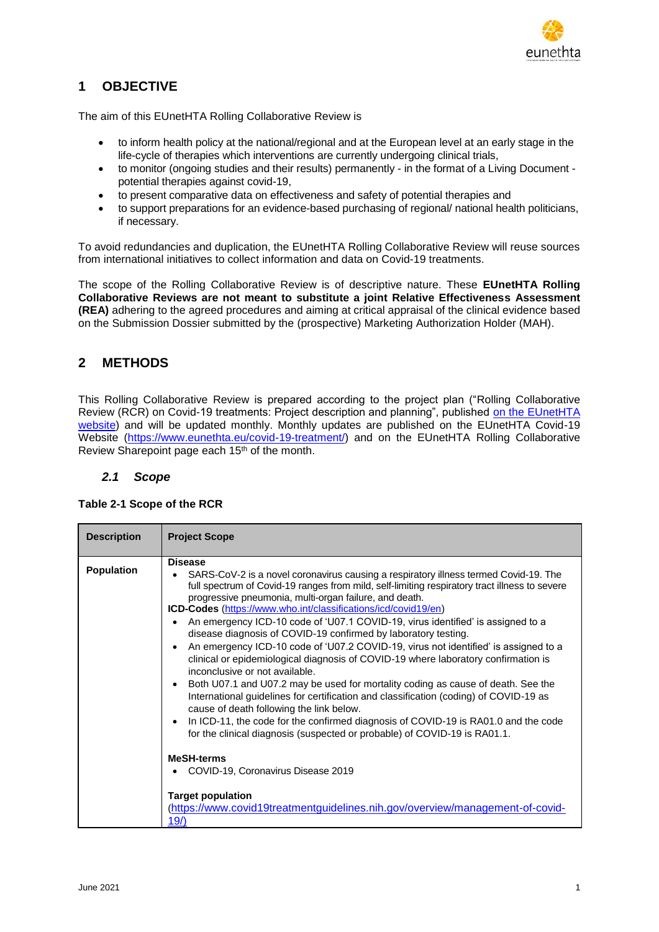

# **1 OBJECTIVE**

The aim of this EUnetHTA Rolling Collaborative Review is

- to inform health policy at the national/regional and at the European level at an early stage in the life-cycle of therapies which interventions are currently undergoing clinical trials,
- to monitor (ongoing studies and their results) permanently in the format of a Living Document potential therapies against covid-19,
- to present comparative data on effectiveness and safety of potential therapies and
- to support preparations for an evidence-based purchasing of regional/ national health politicians, if necessary.

To avoid redundancies and duplication, the EUnetHTA Rolling Collaborative Review will reuse sources from international initiatives to collect information and data on Covid-19 treatments.

The scope of the Rolling Collaborative Review is of descriptive nature. These **EUnetHTA Rolling Collaborative Reviews are not meant to substitute a joint Relative Effectiveness Assessment (REA)** adhering to the agreed procedures and aiming at critical appraisal of the clinical evidence based on the Submission Dossier submitted by the (prospective) Marketing Authorization Holder (MAH).

## **2 METHODS**

This Rolling Collaborative Review is prepared according to the project plan ("Rolling Collaborative Review (RCR) on Covid-19 treatments: Project description and planning", published [on the EUnetHTA](https://eunethta.eu/wp-content/uploads/2020/07/RCR01-RCRXX-Project-Plan.pdf)  [website\)](https://eunethta.eu/wp-content/uploads/2020/07/RCR01-RCRXX-Project-Plan.pdf) and will be updated monthly. Monthly updates are published on the EUnetHTA Covid-19 Website [\(https://www.eunethta.eu/covid-19-treatment/\)](https://www.eunethta.eu/covid-19-treatment/) and on the EUnetHTA Rolling Collaborative Review Sharepoint page each 15<sup>th</sup> of the month.

### *2.1 Scope*

| <b>Description</b> | <b>Project Scope</b>                                                                                                                                                                                                                                                                                                                                                                                                                                                                                                                                                                                                                                                                                                                                                                                                                                                                                                                                                                                                                                                                                                                                                                                                                                                               |
|--------------------|------------------------------------------------------------------------------------------------------------------------------------------------------------------------------------------------------------------------------------------------------------------------------------------------------------------------------------------------------------------------------------------------------------------------------------------------------------------------------------------------------------------------------------------------------------------------------------------------------------------------------------------------------------------------------------------------------------------------------------------------------------------------------------------------------------------------------------------------------------------------------------------------------------------------------------------------------------------------------------------------------------------------------------------------------------------------------------------------------------------------------------------------------------------------------------------------------------------------------------------------------------------------------------|
| <b>Population</b>  | <b>Disease</b><br>SARS-CoV-2 is a novel coronavirus causing a respiratory illness termed Covid-19. The<br>full spectrum of Covid-19 ranges from mild, self-limiting respiratory tract illness to severe<br>progressive pneumonia, multi-organ failure, and death.<br>ICD-Codes (https://www.who.int/classifications/icd/covid19/en)<br>An emergency ICD-10 code of 'U07.1 COVID-19, virus identified' is assigned to a<br>disease diagnosis of COVID-19 confirmed by laboratory testing.<br>An emergency ICD-10 code of 'U07.2 COVID-19, virus not identified' is assigned to a<br>clinical or epidemiological diagnosis of COVID-19 where laboratory confirmation is<br>inconclusive or not available.<br>Both U07.1 and U07.2 may be used for mortality coding as cause of death. See the<br>International guidelines for certification and classification (coding) of COVID-19 as<br>cause of death following the link below.<br>In ICD-11, the code for the confirmed diagnosis of COVID-19 is RA01.0 and the code<br>for the clinical diagnosis (suspected or probable) of COVID-19 is RA01.1.<br><b>MeSH-terms</b><br>COVID-19, Coronavirus Disease 2019<br><b>Target population</b><br>(https://www.covid19treatmentguidelines.nih.gov/overview/management-of-covid-<br>19/ |

### **Table 2-1 Scope of the RCR**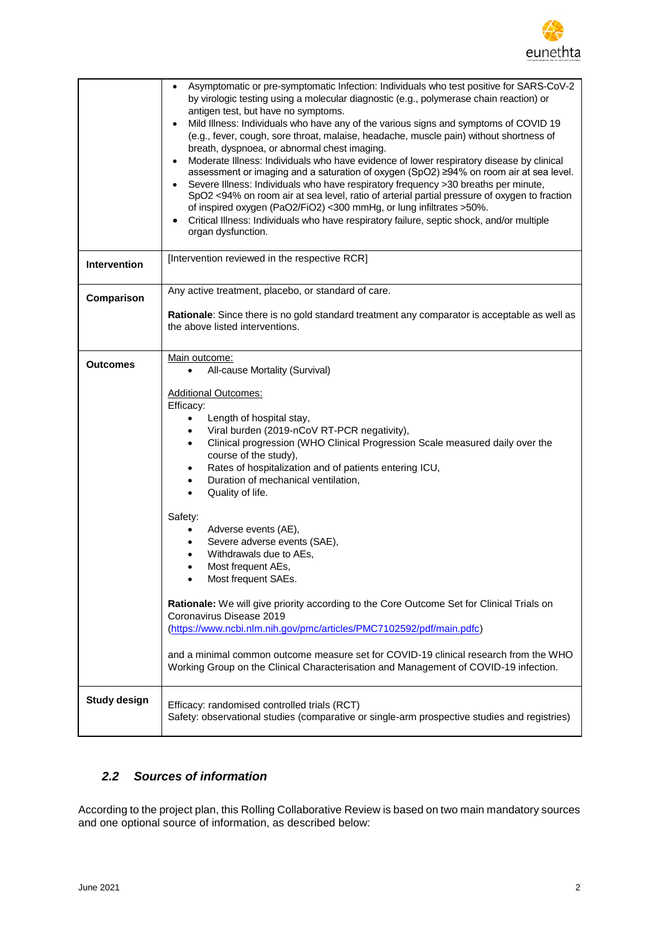

|                     | Asymptomatic or pre-symptomatic Infection: Individuals who test positive for SARS-CoV-2<br>$\bullet$<br>by virologic testing using a molecular diagnostic (e.g., polymerase chain reaction) or<br>antigen test, but have no symptoms.<br>Mild Illness: Individuals who have any of the various signs and symptoms of COVID 19<br>(e.g., fever, cough, sore throat, malaise, headache, muscle pain) without shortness of<br>breath, dyspnoea, or abnormal chest imaging.<br>Moderate Illness: Individuals who have evidence of lower respiratory disease by clinical<br>assessment or imaging and a saturation of oxygen (SpO2) ≥94% on room air at sea level.<br>Severe Illness: Individuals who have respiratory frequency >30 breaths per minute,<br>SpO2 <94% on room air at sea level, ratio of arterial partial pressure of oxygen to fraction<br>of inspired oxygen (PaO2/FiO2) <300 mmHg, or lung infiltrates >50%.<br>Critical Illness: Individuals who have respiratory failure, septic shock, and/or multiple<br>organ dysfunction. |
|---------------------|-----------------------------------------------------------------------------------------------------------------------------------------------------------------------------------------------------------------------------------------------------------------------------------------------------------------------------------------------------------------------------------------------------------------------------------------------------------------------------------------------------------------------------------------------------------------------------------------------------------------------------------------------------------------------------------------------------------------------------------------------------------------------------------------------------------------------------------------------------------------------------------------------------------------------------------------------------------------------------------------------------------------------------------------------|
| <b>Intervention</b> | [Intervention reviewed in the respective RCR]                                                                                                                                                                                                                                                                                                                                                                                                                                                                                                                                                                                                                                                                                                                                                                                                                                                                                                                                                                                                 |
| Comparison          | Any active treatment, placebo, or standard of care.                                                                                                                                                                                                                                                                                                                                                                                                                                                                                                                                                                                                                                                                                                                                                                                                                                                                                                                                                                                           |
|                     | Rationale: Since there is no gold standard treatment any comparator is acceptable as well as<br>the above listed interventions.                                                                                                                                                                                                                                                                                                                                                                                                                                                                                                                                                                                                                                                                                                                                                                                                                                                                                                               |
| Outcomes            | Main outcome:<br>All-cause Mortality (Survival)<br>$\bullet$<br><b>Additional Outcomes:</b><br>Efficacy:<br>Length of hospital stay,<br>$\bullet$<br>Viral burden (2019-nCoV RT-PCR negativity),<br>$\bullet$<br>Clinical progression (WHO Clinical Progression Scale measured daily over the<br>$\bullet$<br>course of the study),<br>Rates of hospitalization and of patients entering ICU,<br>٠<br>Duration of mechanical ventilation,<br>$\bullet$<br>Quality of life.<br>$\bullet$<br>Safety:<br>Adverse events (AE),<br>$\bullet$<br>Severe adverse events (SAE),<br>$\bullet$<br>Withdrawals due to AEs,<br>٠<br>Most frequent AEs,<br>$\bullet$<br>Most frequent SAEs.<br>Rationale: We will give priority according to the Core Outcome Set for Clinical Trials on<br>Coronavirus Disease 2019<br>(https://www.ncbi.nlm.nih.gov/pmc/articles/PMC7102592/pdf/main.pdfc)<br>and a minimal common outcome measure set for COVID-19 clinical research from the WHO                                                                       |
|                     | Working Group on the Clinical Characterisation and Management of COVID-19 infection.                                                                                                                                                                                                                                                                                                                                                                                                                                                                                                                                                                                                                                                                                                                                                                                                                                                                                                                                                          |
| <b>Study design</b> | Efficacy: randomised controlled trials (RCT)<br>Safety: observational studies (comparative or single-arm prospective studies and registries)                                                                                                                                                                                                                                                                                                                                                                                                                                                                                                                                                                                                                                                                                                                                                                                                                                                                                                  |

### *2.2 Sources of information*

According to the project plan, this Rolling Collaborative Review is based on two main mandatory sources and one optional source of information, as described below: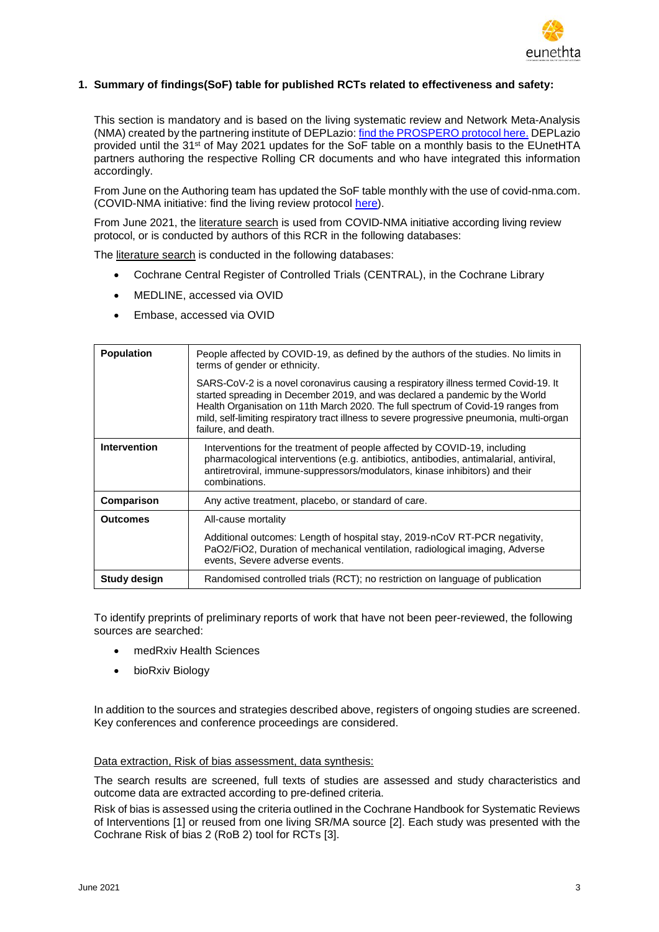

#### **1. Summary of findings(SoF) table for published RCTs related to effectiveness and safety:**

This section is mandatory and is based on the living systematic review and Network Meta-Analysis (NMA) created by the partnering institute of DEPLazio: [find the PROSPERO protocol here.](http://www.fvcalabria.unicz.it/COVID-19/REVIEW/comparative%20effectiveness%20of%20pharmacological%20interventions%20for%20COVID_19_%20a%20living%20systematic%20review.pdf) DEPLazio provided until the 31<sup>st</sup> of May 2021 updates for the SoF table on a monthly basis to the EUnetHTA partners authoring the respective Rolling CR documents and who have integrated this information accordingly.

From June on the Authoring team has updated the SoF table monthly with the use of covid-nma.com. (COVID-NMA initiative: find the living review protocol [here\)](https://www.cochranelibrary.com/cdsr/doi/10.1002/14651858.CD013769/full).

From June 2021, the literature search is used from COVID-NMA initiative according living review protocol, or is conducted by authors of this RCR in the following databases:

The literature search is conducted in the following databases:

- Cochrane Central Register of Controlled Trials (CENTRAL), in the Cochrane Library
- MEDLINE, accessed via OVID
- Embase, accessed via OVID

| <b>Population</b><br>People affected by COVID-19, as defined by the authors of the studies. No limits in<br>terms of gender or ethnicity.<br>SARS-CoV-2 is a novel coronavirus causing a respiratory illness termed Covid-19. It<br>started spreading in December 2019, and was declared a pandemic by the World<br>Health Organisation on 11th March 2020. The full spectrum of Covid-19 ranges from<br>mild, self-limiting respiratory tract illness to severe progressive pneumonia, multi-organ<br>failure, and death. |
|----------------------------------------------------------------------------------------------------------------------------------------------------------------------------------------------------------------------------------------------------------------------------------------------------------------------------------------------------------------------------------------------------------------------------------------------------------------------------------------------------------------------------|
|                                                                                                                                                                                                                                                                                                                                                                                                                                                                                                                            |
|                                                                                                                                                                                                                                                                                                                                                                                                                                                                                                                            |
| <b>Intervention</b><br>Interventions for the treatment of people affected by COVID-19, including<br>pharmacological interventions (e.g. antibiotics, antibodies, antimalarial, antiviral,<br>antiretroviral, immune-suppressors/modulators, kinase inhibitors) and their<br>combinations.                                                                                                                                                                                                                                  |
| Comparison<br>Any active treatment, placebo, or standard of care.                                                                                                                                                                                                                                                                                                                                                                                                                                                          |
| <b>Outcomes</b><br>All-cause mortality                                                                                                                                                                                                                                                                                                                                                                                                                                                                                     |
| Additional outcomes: Length of hospital stay, 2019-nCoV RT-PCR negativity,<br>PaO2/FiO2, Duration of mechanical ventilation, radiological imaging, Adverse<br>events, Severe adverse events.                                                                                                                                                                                                                                                                                                                               |
| Randomised controlled trials (RCT); no restriction on language of publication<br>Study design                                                                                                                                                                                                                                                                                                                                                                                                                              |

To identify preprints of preliminary reports of work that have not been peer-reviewed, the following sources are searched:

- medRxiv Health Sciences
- bioRxiv Biology

In addition to the sources and strategies described above, registers of ongoing studies are screened. Key conferences and conference proceedings are considered.

#### Data extraction, Risk of bias assessment, data synthesis:

The search results are screened, full texts of studies are assessed and study characteristics and outcome data are extracted according to pre-defined criteria.

Risk of bias is assessed using the criteria outlined in the Cochrane Handbook for Systematic Reviews of Interventions [\[1\]](#page-5-0) or reused from one living SR/MA source [\[2\]](#page-5-1). Each study was presented with the Cochrane Risk of bias 2 (RoB 2) tool for RCTs [\[3\]](#page-5-2).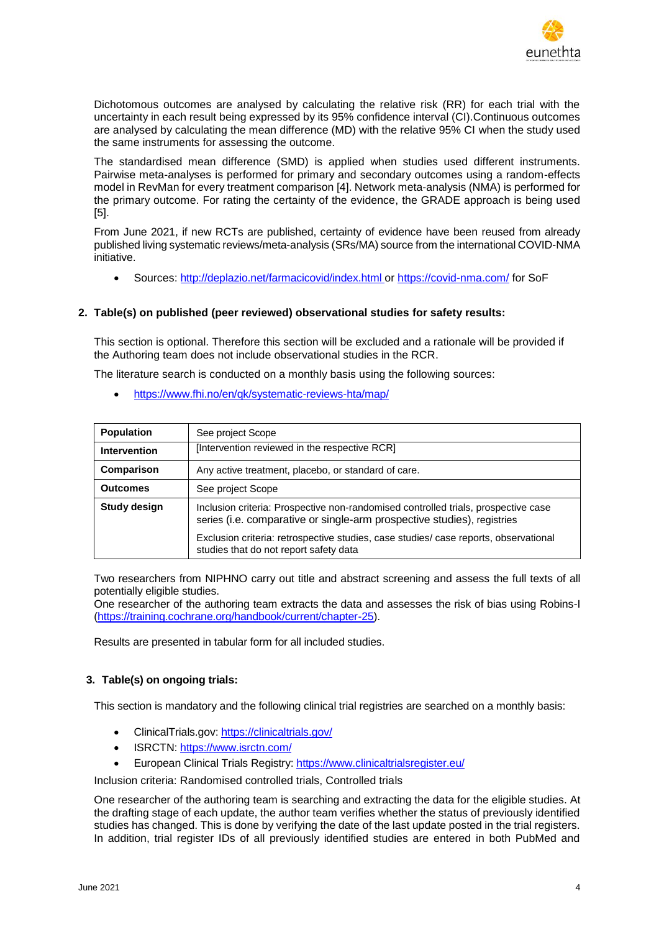

Dichotomous outcomes are analysed by calculating the relative risk (RR) for each trial with the uncertainty in each result being expressed by its 95% confidence interval (CI).Continuous outcomes are analysed by calculating the mean difference (MD) with the relative 95% CI when the study used the same instruments for assessing the outcome.

The standardised mean difference (SMD) is applied when studies used different instruments. Pairwise meta-analyses is performed for primary and secondary outcomes using a random-effects model in RevMan for every treatment comparison [\[4\]](#page-5-3). Network meta-analysis (NMA) is performed for the primary outcome. For rating the certainty of the evidence, the GRADE approach is being used [\[5\]](#page-5-4).

From June 2021, if new RCTs are published, certainty of evidence have been reused from already published living systematic reviews/meta-analysis (SRs/MA) source from the international COVID-NMA initiative.

Sources: <http://deplazio.net/farmacicovid/index.html> or<https://covid-nma.com/> for SoF

#### **2. Table(s) on published (peer reviewed) observational studies for safety results:**

This section is optional. Therefore this section will be excluded and a rationale will be provided if the Authoring team does not include observational studies in the RCR.

The literature search is conducted on a monthly basis using the following sources:

<https://www.fhi.no/en/qk/systematic-reviews-hta/map/>

| <b>Population</b>   | See project Scope                                                                                                                                             |
|---------------------|---------------------------------------------------------------------------------------------------------------------------------------------------------------|
| <b>Intervention</b> | [Intervention reviewed in the respective RCR]                                                                                                                 |
| Comparison          | Any active treatment, placebo, or standard of care.                                                                                                           |
| <b>Outcomes</b>     | See project Scope                                                                                                                                             |
| <b>Study design</b> | Inclusion criteria: Prospective non-randomised controlled trials, prospective case<br>series (i.e. comparative or single-arm prospective studies), registries |
|                     | Exclusion criteria: retrospective studies, case studies/ case reports, observational<br>studies that do not report safety data                                |

Two researchers from NIPHNO carry out title and abstract screening and assess the full texts of all potentially eligible studies.

One researcher of the authoring team extracts the data and assesses the risk of bias using Robins-I [\(https://training.cochrane.org/handbook/current/chapter-25\)](https://training.cochrane.org/handbook/current/chapter-25).

Results are presented in tabular form for all included studies.

#### **3. Table(s) on ongoing trials:**

This section is mandatory and the following clinical trial registries are searched on a monthly basis:

- ClinicalTrials.gov:<https://clinicaltrials.gov/>
- ISRCTN:<https://www.isrctn.com/>
- European Clinical Trials Registry:<https://www.clinicaltrialsregister.eu/>

Inclusion criteria: Randomised controlled trials, Controlled trials

One researcher of the authoring team is searching and extracting the data for the eligible studies. At the drafting stage of each update, the author team verifies whether the status of previously identified studies has changed. This is done by verifying the date of the last update posted in the trial registers. In addition, trial register IDs of all previously identified studies are entered in both PubMed and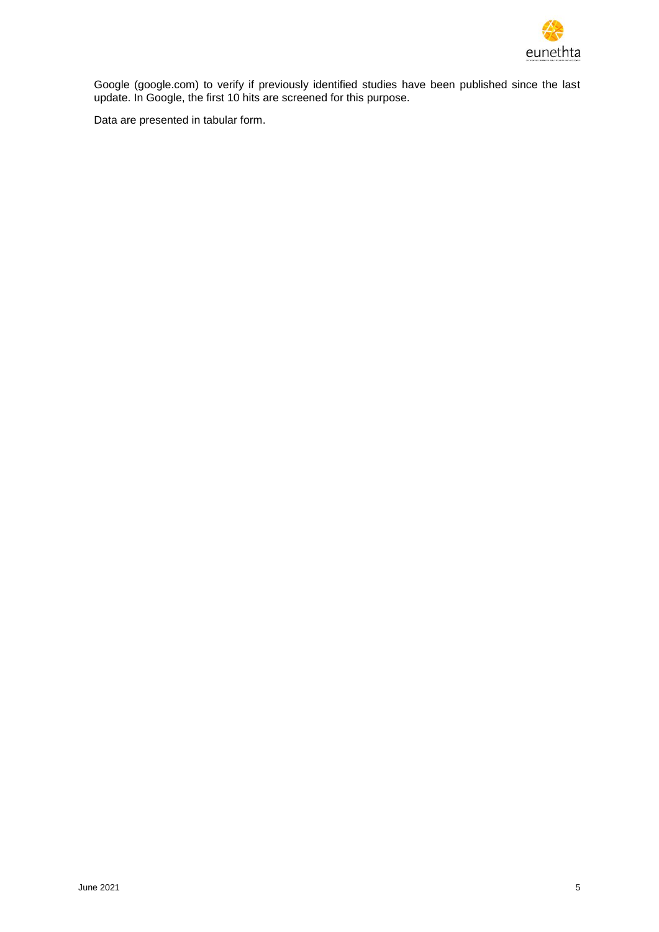

Google (google.com) to verify if previously identified studies have been published since the last update. In Google, the first 10 hits are screened for this purpose.

Data are presented in tabular form.